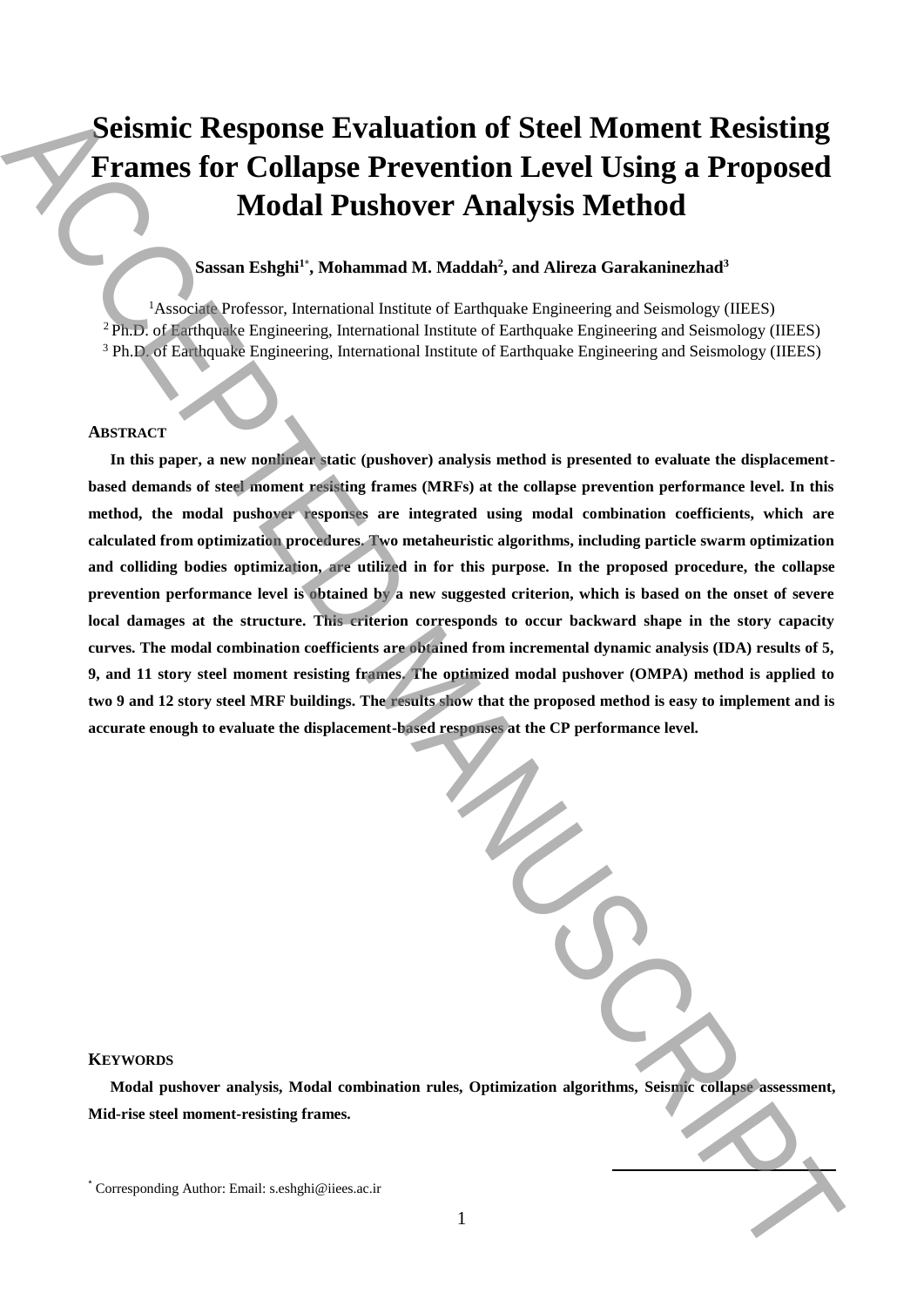# **Seismic Response Evaluation of Steel Moment Resisting Frames for Collapse Prevention Level Using a Proposed Modal Pushover Analysis Method**

# **Sassan Eshghi<sup>1</sup>\* , Mohammad M. Maddah<sup>2</sup> , and Alireza Garakaninezhad<sup>3</sup>**

<sup>1</sup>Associate Professor, International Institute of Earthquake Engineering and Seismology (IIEES) <sup>2</sup>Ph.D. of Earthquake Engineering, International Institute of Earthquake Engineering and Seismology (IIEES) <sup>3</sup> Ph.D. of Earthquake Engineering, International Institute of Earthquake Engineering and Seismology (IIEES)

# **ABSTRACT**

**In this paper, a new nonlinear static (pushover) analysis method is presented to evaluate the displacementbased demands of steel moment resisting frames (MRFs) at the collapse prevention performance level. In this method, the modal pushover responses are integrated using modal combination coefficients, which are calculated from optimization procedures. Two metaheuristic algorithms, including particle swarm optimization and colliding bodies optimization, are utilized in for this purpose. In the proposed procedure, the collapse prevention performance level is obtained by a new suggested criterion, which is based on the onset of severe local damages at the structure. This criterion corresponds to occur backward shape in the story capacity curves. The modal combination coefficients are obtained from incremental dynamic analysis (IDA) results of 5, 9, and 11 story steel moment resisting frames. The optimized modal pushover (OMPA) method is applied to two 9 and 12 story steel MRF buildings. The results show that the proposed method is easy to implement and is accurate enough to evaluate the displacement-based responses at the CP performance level.** Seismic Response Evaluation of Steel Moment Resisting<br>
Frames for Collapse Prevention Level Using a Proposed<br>
Modal Pushover Analysis Method<br>
(Modal Pushover Analysis Method<br>
(Modal Pushover Analysis Method<br>
(Modal Pushove

## **KEYWORDS**

**Modal pushover analysis, Modal combination rules, Optimization algorithms, Seismic collapse assessment, Mid-rise steel moment-resisting frames.**

**.**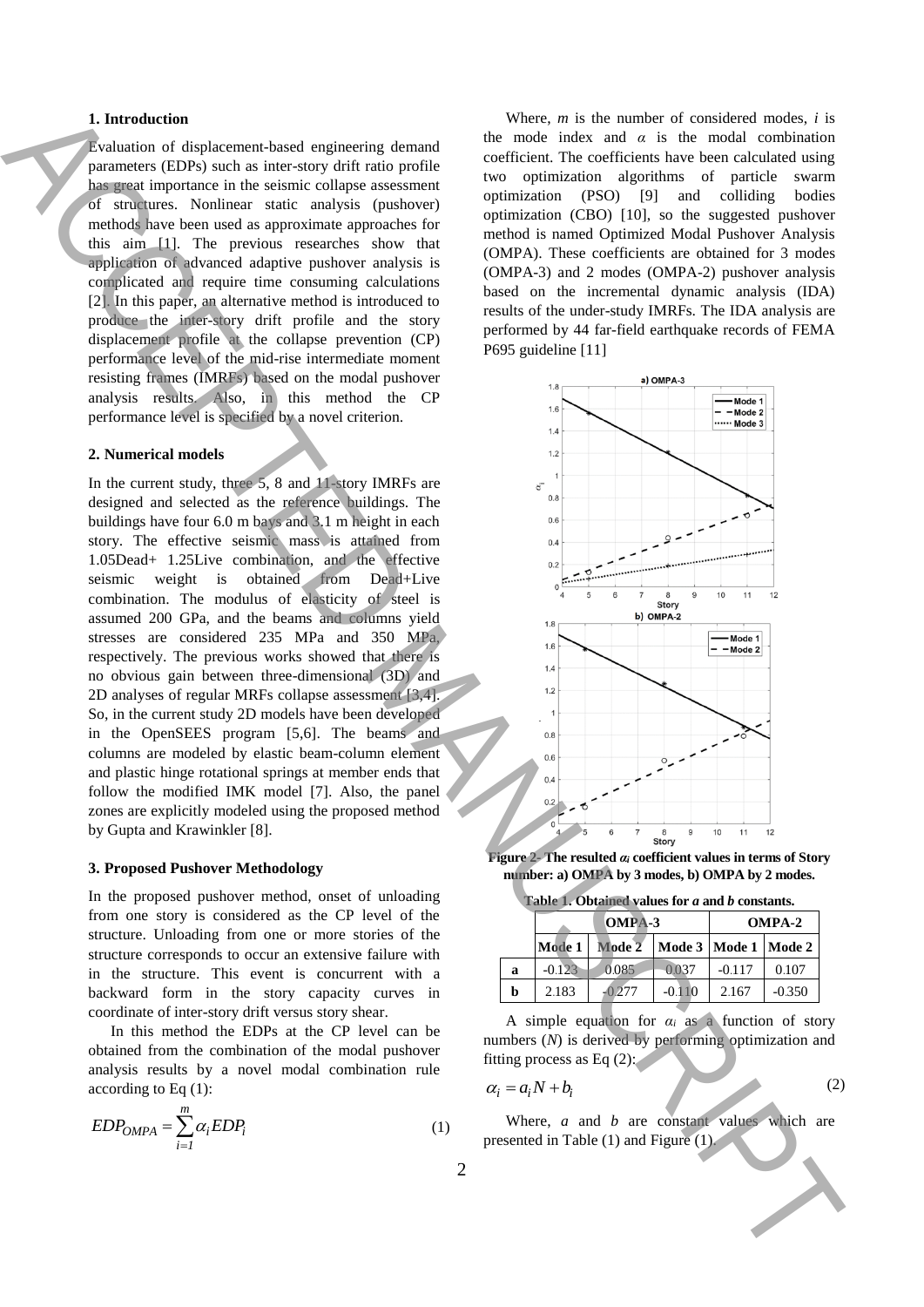#### **1. Introduction**

Evaluation of displacement-based engineering demand parameters (EDPs) such as inter-story drift ratio profile has great importance in the seismic collapse assessment of structures. Nonlinear static analysis (pushover) methods have been used as approximate approaches for this aim [1]. The previous researches show that application of advanced adaptive pushover analysis is complicated and require time consuming calculations [2]. In this paper, an alternative method is introduced to produce the inter-story drift profile and the story displacement profile at the collapse prevention (CP) performance level of the mid-rise intermediate moment resisting frames (IMRFs) based on the modal pushover analysis results. Also, in this method the CP performance level is specified by a novel criterion.

## **2. Numerical models**

In the current study, three 5, 8 and 11-story IMRFs are designed and selected as the reference buildings. The buildings have four 6.0 m bays and 3.1 m height in each story. The effective seismic mass is attained from 1.05Dead+ 1.25Live combination, and the effective seismic weight is obtained from Dead+Live combination. The modulus of elasticity of steel is assumed 200 GPa, and the beams and columns yield stresses are considered 235 MPa and 350 MPa, respectively. The previous works showed that there is no obvious gain between three-dimensional (3D) and 2D analyses of regular MRFs collapse assessment [3,4]. So, in the current study 2D models have been developed in the OpenSEES program [5,6]. The beams and columns are modeled by elastic beam-column element and plastic hinge rotational springs at member ends that follow the modified IMK model [7]. Also, the panel zones are explicitly modeled using the proposed method by Gupta and Krawinkler [8]. I. Independent distribution (with the same of contribution in the same of contribution of the same of the same of the same of the same of the same of the same of the same of the same of the same of the same of the same of

#### **3. Proposed Pushover Methodology**

In the proposed pushover method, onset of unloading from one story is considered as the CP level of the structure. Unloading from one or more stories of the structure corresponds to occur an extensive failure with in the structure. This event is concurrent with a backward form in the story capacity curves in coordinate of inter-story drift versus story shear.

In this method the EDPs at the CP level can be obtained from the combination of the modal pushover analysis results by a novel modal combination rule according to Eq (1):

$$
EDP_{OMPA} = \sum_{i=1}^{m} \alpha_i EDP_i
$$
 (1)

Where, *m* is the number of considered modes, *i* is the mode index and  $\alpha$  is the modal combination coefficient. The coefficients have been calculated using two optimization algorithms of particle swarm optimization (PSO) [9] and colliding bodies optimization (CBO) [10], so the suggested pushover method is named Optimized Modal Pushover Analysis (OMPA). These coefficients are obtained for 3 modes (OMPA-3) and 2 modes (OMPA-2) pushover analysis based on the incremental dynamic analysis (IDA) results of the under-study IMRFs. The IDA analysis are performed by 44 far-field earthquake records of FEMA P695 guideline [11]



**Figure 2- The resulted** *α<sup>i</sup>* **coefficient values in terms of Story number: a) OMPA by 3 modes, b) OMPA by 2 modes.**

|  |  | Table 1. Obtained values for a and b constants. |
|--|--|-------------------------------------------------|
|  |  |                                                 |

|   |          | OMPA-3        | <b>OMPA-2</b> |                      |          |
|---|----------|---------------|---------------|----------------------|----------|
|   |          | Mode 1 Mode 2 |               | Mode 3 Mode 1 Mode 2 |          |
| a | $-0.123$ | 0.085         | 0.037         | $-0.117$             | 0.107    |
| b | 2.183    | $-0.277$      | $-0.110$      | 2.167                | $-0.350$ |

A simple equation for  $\alpha_i$  as a function of story numbers (*N*) is derived by performing optimization and fitting process as Eq  $(2)$ :

$$
\alpha_i = a_i N + b_i \tag{2}
$$

Where, *a* and *b* are constant values which are presented in Table (1) and Figure (1).